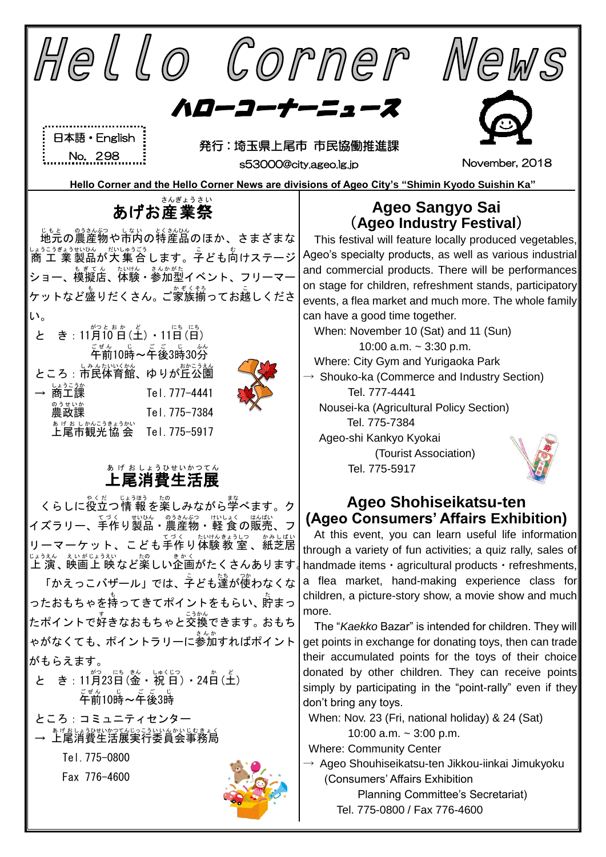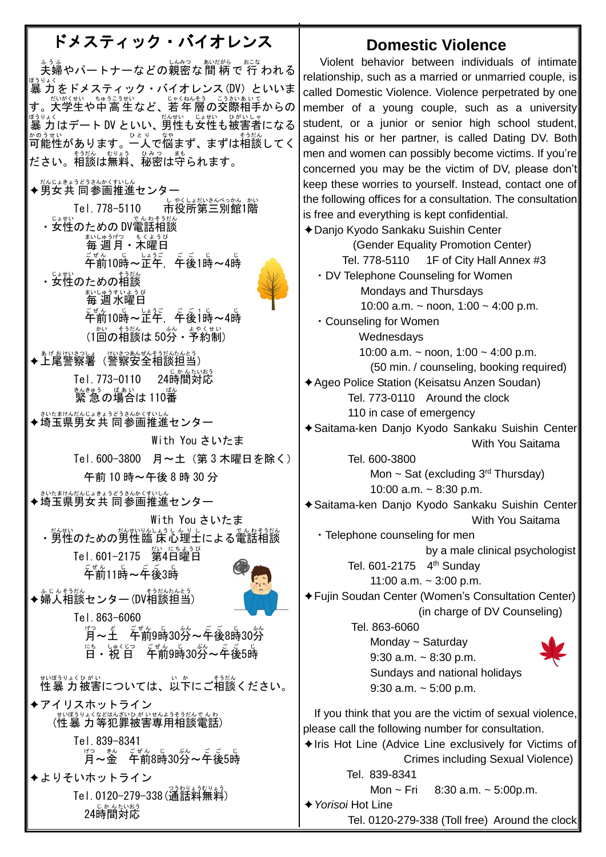## ドメスティック・バイオレンス

<u>、、。</u><br>夫婦やパートナーなどの親密な間 柄で 行 われる <sub>ぼうりょく</sub><br>暴 力をドメスティック・バイオレンス (DV) といいま す。大学生や中高生など、若年層の交際相手からの <sub>ぼうりょく</sub><br>暴 力はデート DV といい、男性も女性も被害者になる 可能性 かのうせい があります。一人 ひとり で悩 なや まず、まずは相談 そうだん してく たさい。相談は無料、秘密は守られます。

◆男女共 同参画推進センター

Tel. 778-5110 しゃくしょだいきんべっかん。かい ・ち性のための DV電話相談 ホ<u>៶៶しゅう</u>げつ もくようび<br>毎 週 月・木曜日 午前 ごぜん 10時 じ ~正午 しょうご , 午後 ご ご 1時 じ ~4時 じ ・<sub>女性のための</sub><sub>おだん</sub> まいしゅうすいようび<br>**毎週水曜日** 午前 ごぜん 10時 じ ~正午 しょうご , 午後 ご ご 1 1 時 じ ~4時 じ (1回の相談は50分・予約制) ◆上尾警察署(警察安全相談担当) Tel.773-0110 24時間対応 <sub>まんきゅう</sub> <sub>ばぁぃ</sub> <br>緊 急 の場合は 110番 ◆埼玉県男女共 同参画推進センター With You さいたま Tel.600-3800 月~土(第 3 木曜日を除く) 午前 10 時~午後 8 時 30 分 ◆埼玉県男女共 同参画推進センター With You さいたま ・男性のための男性臨 床心理士による電話相談 Tel.601-2175 第 だい 4日曜日 にちようび <u>。。。。</u><br>午前11時~午後3時 ◆婦人相談センター(DV相談担当) Tel.863-6060  $\mathring{\mathbb{F}}$ ~王 年前9時30分  $\mathbb{E}^5$  - 祝 日 午前9時30労~年後5時

<sub>むぼうりょくひがい</sub><br>性暴 力被害については、以下にご相談ください。 ✦アイリスホットライン (性暴力等犯罪被害専用相談電話) Tel.839-8341  $\mathring{\mathbb{F}}$ ~釜 午前8時30分~午後5時 ✦よりそいホットライン

Tel.0120-279-338(通話料無料) 。<br>24時間対応

## **Domestic Violence**

Violent behavior between individuals of intimate relationship, such as a married or unmarried couple, is called Domestic Violence. Violence perpetrated by one member of a young couple, such as a university student, or a junior or senior high school student, against his or her partner, is called Dating DV. Both men and women can possibly become victims. If you're concerned you may be the victim of DV, please don't keep these worries to yourself. Instead, contact one of the following offices for a consultation. The consultation is free and everything is kept confidential. ✦Danjo Kyodo Sankaku Suishin Center (Gender Equality Promotion Center) Tel. 778-5110 1F of City Hall Annex #3 ・DV Telephone Counseling for Women Mondays and Thursdays 10:00 a.m. ~ noon, 1:00 ~ 4:00 p.m. ・Counseling for Women Wednesdays 10:00 a.m. ~ noon,  $1:00 \sim 4:00$  p.m. (50 min. / counseling, booking required) ✦Ageo Police Station (Keisatsu Anzen Soudan) Tel. 773-0110 Around the clock 110 in case of emergency ✦Saitama-ken Danjo Kyodo Sankaku Suishin Center With You Saitama Tel. 600-3800 Mon  $\sim$  Sat (excluding 3<sup>rd</sup> Thursday) 10:00 a.m. ~ 8:30 p.m. ✦Saitama-ken Danjo Kyodo Sankaku Suishin Center With You Saitama ・Telephone counseling for men by a male clinical psychologist Tel. 601-2175 4<sup>th</sup> Sunday 11:00 a.m.  $\sim$  3:00 p.m. ✦Fujin Soudan Center (Women's Consultation Center) (in charge of DV Counseling) Tel. 863-6060 Monday ~ Saturday 9:30 a.m.  $\sim$  8:30 p.m. Sundays and national holidays 9:30 a.m.  $\sim$  5:00 p.m. If you think that you are the victim of sexual violence, please call the following number for consultation.  $\triangle$ Iris Hot Line (Advice Line exclusively for Victims of Crimes including Sexual Violence) Tel. 839-8341 Mon  $\sim$  Fri  $8:30$  a.m.  $\sim$  5:00p.m. ✦*Yorisoi* Hot Line Tel. 0120-279-338 (Toll free) Around the clock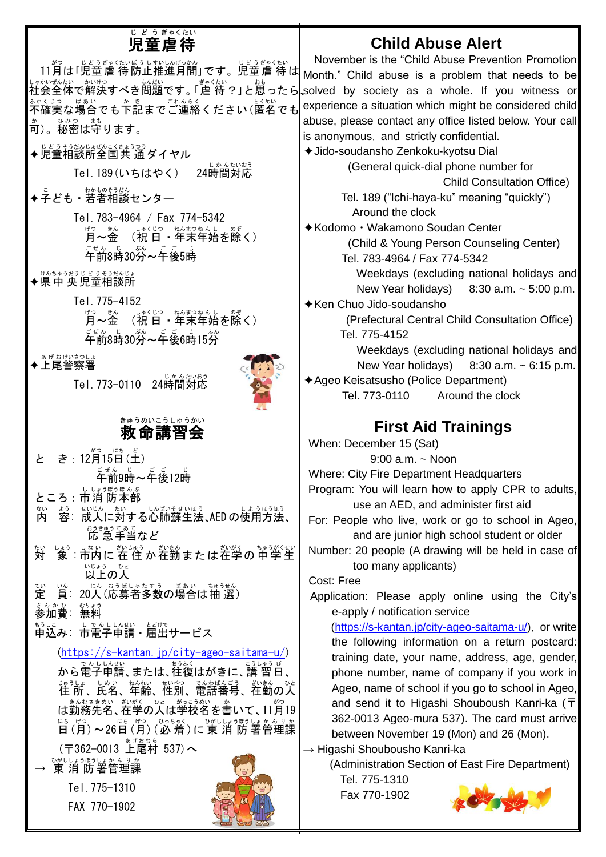## <sub>じどうぎゃくたい</sub>

## **Child Abuse Alert**

11月は「児童虐待防止推進月間」です。児童虐待は しゃかぜんたい かいけつ きもんだい さいざんたい おもの しょうしょう しょうしょう しょうしょう しょうしょう しょうしょう <u>。かくじつ、ばあい。ま</u><br>不確実な場合でも下記までご連絡ください(匿名でも 可 か )。秘密 ひみつ は守 まも ります。 ◆児童相談所全国共 通ダイヤル Tel.189(いちはやく) <sub>じかんたいおう</sub><br>時間対応 ◆子ども・若者相談センター Tel.783-4964 / Fax 774-5342 ぱった。 しゅくじつ ねばつねんし のぞ<br>月〜金 (祝 日 ・年末年始を除く) <sub>こぜん じ</sub><br>午前8時30分~午後5時 → サヘセッラホラヒどさぇラセヘヒょ<br>◆県中央児童相談所 Tel.775-4152 ぱった。 しゅくじつ ねばつねんし のぞ<br>月〜金 (祝 日 ・年末年始を除く) <sub>ごぜん じっぷ</sub>。<br>午前8時30分~午後6時15分 ◆上尾警察署 Tel.773-0110 24時間 対応 じかん たいおう 救命 講習会 きゅうめい こうしゅうかい と き : 12月15日(土) ゠<sub>゠゙</sub><br>゚゙ヸ゙前9時~午後12時 ところ : 市消 防本部 内 ない \*う。 戦い、たい、ものほう。<br>容:成人に対する心肺蘇生法、AEDの使用方法、 ぉぅきゅぅ てぁ て<br>応 急 手当など 対 たい しょう しない こぶいきつ きゅうがくせい<br>|象:市内に 在 住 か 在勤 ま た は 在学 の 中 学 生 <sub>いじょう</sub>。。。<br>**以上の人** 定 てい 賞:20人(応募者多数の場合は抽 選) まんか & 、 もりょう<br>**参加費**:無料 もうに<br>申込み:市電子申請・届出サービス [\(https://s-kantan.jp/city-ageo-saitama-u/\)](https://s-kantan.jp/city-ageo-saitama-u/) ゕ<sub>ら電子申請、または、往復はがきに、講 習日、</sub> 住 所 じゅうしょ 、氏名 しめい 、年齢 ねんれい 、性別 せいべつ 、電話番号 でんわばんごう 、在勤 ざいきん の人 ひと — <u>まんなきあい、ジがくの</u>と、がっこうめい。☆<br>は勤務先名、在学の人は学校名を書いて、11月19 にも〔だ〕 〜 26日(月)(必 着 )に 東 消 防 署管理課 (〒362-0013 上尾村 537)へ → 速消防署管理課 Tel.775-1310 FAX 770-1902 November is the "Child Abuse Prevention Promotion Month." Child abuse is a problem that needs to be solved by society as a whole. If you witness or experience a situation which might be considered child abuse, please contact any office listed below. Your call is anonymous, and strictly confidential. ✦Jido-soudansho Zenkoku-kyotsu Dial (General quick-dial phone number for Child Consultation Office) Tel. 189 ("Ichi-haya-ku" meaning "quickly") Around the clock ✦Kodomo・Wakamono Soudan Center (Child & Young Person Counseling Center) Tel. 783-4964 / Fax 774-5342 Weekdays (excluding national holidays and New Year holidays)  $8:30$  a.m.  $\sim 5:00$  p.m. ✦Ken Chuo Jido-soudansho (Prefectural Central Child Consultation Office) Tel. 775-4152 Weekdays (excluding national holidays and New Year holidays)  $8:30$  a.m.  $\sim 6:15$  p.m. ✦Ageo Keisatsusho (Police Department) Tel. 773-0110 Around the clock **First Aid Trainings** When: December 15 (Sat) 9:00 a.m. ~ Noon Where: City Fire Department Headquarters Program: You will learn how to apply CPR to adults, use an AED, and administer first aid For: People who live, work or go to school in Ageo, and are junior high school student or older Number: 20 people (A drawing will be held in case of too many applicants) Cost: Free Application: Please apply online using the City's e-apply / notification service [\(https://s-kantan.jp/city-ageo-saitama-u/\)](https://s-kantan.jp/city-ageo-saitama-u/), or write the following information on a return postcard: training date, your name, address, age, gender, phone number, name of company if you work in Ageo, name of school if you go to school in Ageo, and send it to Higashi Shouboush Kanri-ka ( $\overline{T}$ 362-0013 Ageo-mura 537). The card must arrive between November 19 (Mon) and 26 (Mon).  $\rightarrow$  Higashi Shoubousho Kanri-ka (Administration Section of East Fire Department) Tel. 775-1310 Fax 770-1902